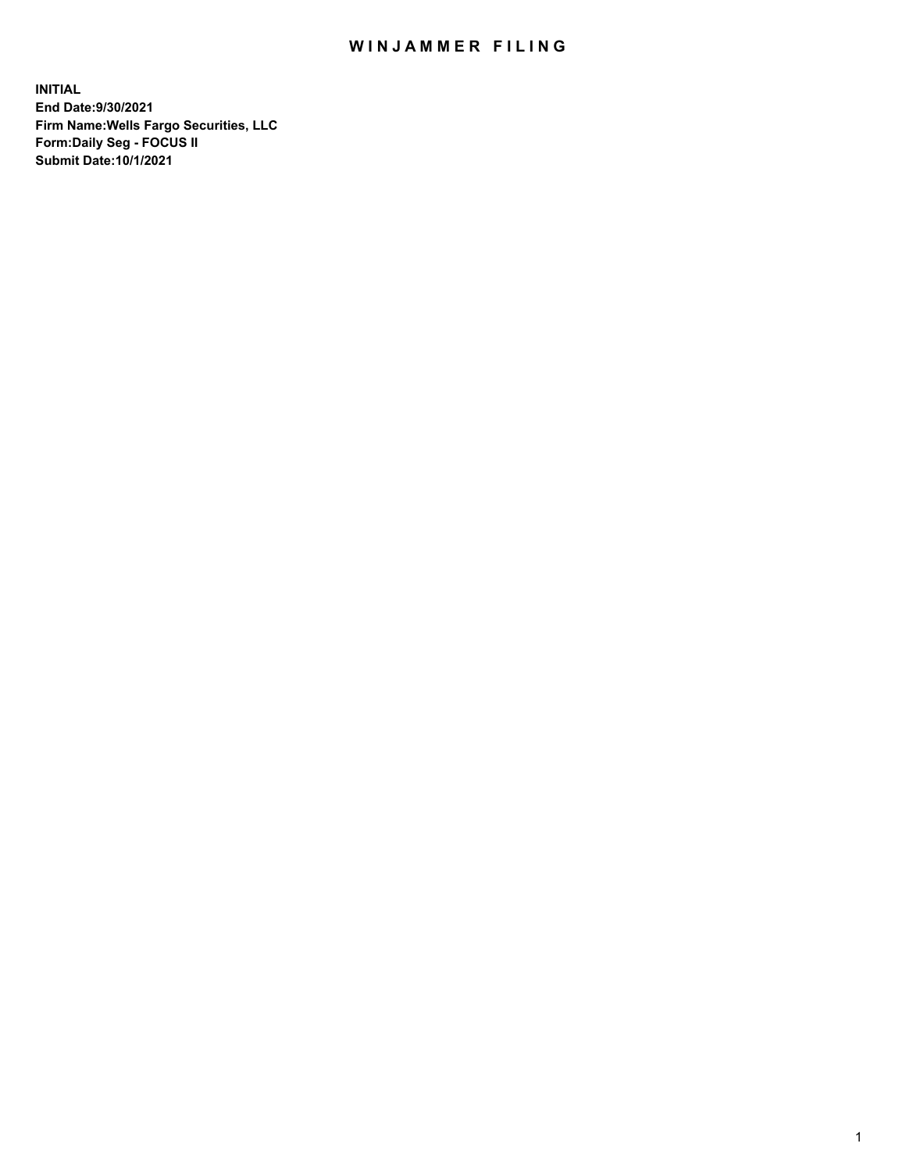## WIN JAMMER FILING

**INITIAL End Date:9/30/2021 Firm Name:Wells Fargo Securities, LLC Form:Daily Seg - FOCUS II Submit Date:10/1/2021**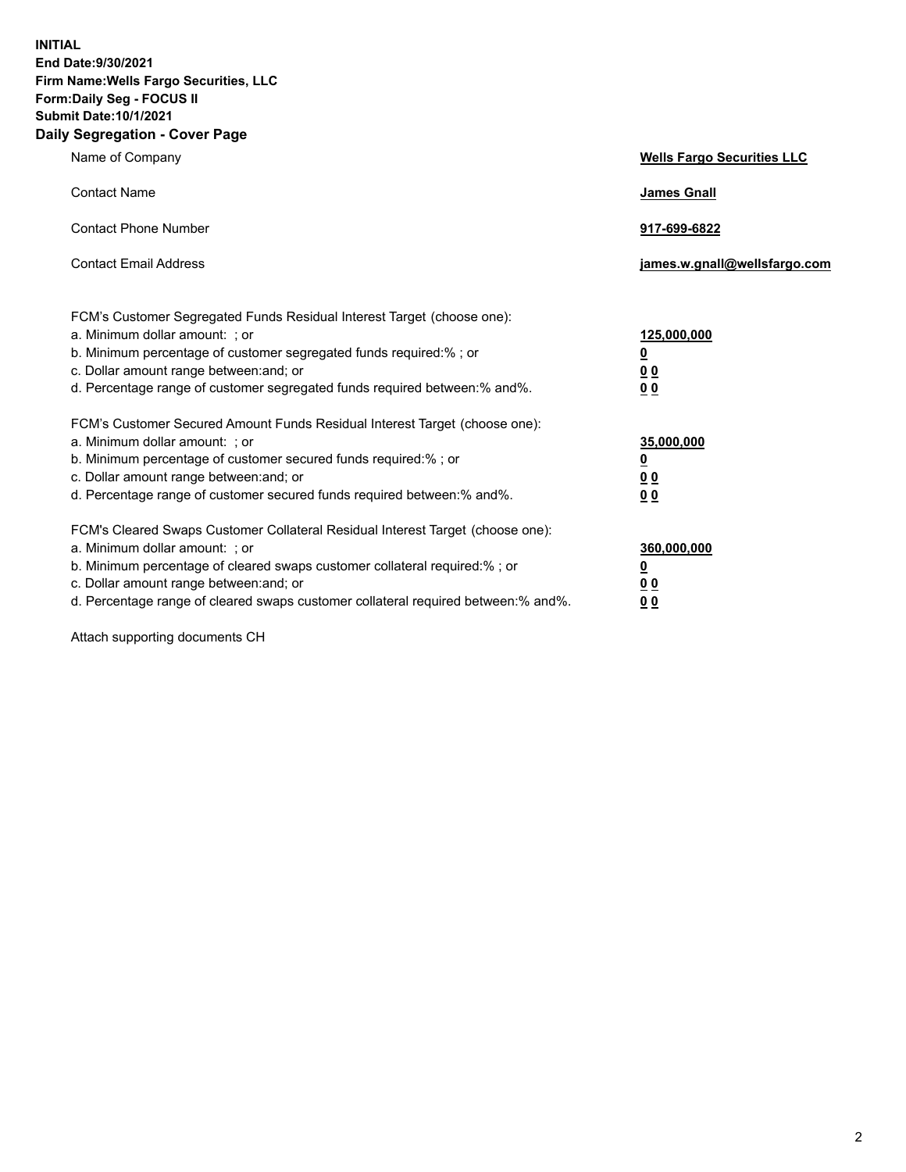**INITIAL End Date:9/30/2021 Firm Name:Wells Fargo Securities, LLC Form:Daily Seg - FOCUS II Submit Date:10/1/2021 Daily Segregation - Cover Page**

| Name of Company                                                                                                                                                                                                                                                                                                               | <b>Wells Fargo Securities LLC</b>                          |
|-------------------------------------------------------------------------------------------------------------------------------------------------------------------------------------------------------------------------------------------------------------------------------------------------------------------------------|------------------------------------------------------------|
| <b>Contact Name</b>                                                                                                                                                                                                                                                                                                           | <b>James Gnall</b>                                         |
| <b>Contact Phone Number</b>                                                                                                                                                                                                                                                                                                   | 917-699-6822                                               |
| <b>Contact Email Address</b>                                                                                                                                                                                                                                                                                                  | james.w.gnall@wellsfargo.com                               |
| FCM's Customer Segregated Funds Residual Interest Target (choose one):<br>a. Minimum dollar amount: ; or<br>b. Minimum percentage of customer segregated funds required:% ; or<br>c. Dollar amount range between: and; or<br>d. Percentage range of customer segregated funds required between:% and%.                        | 125,000,000<br><u>0</u><br>0 <sub>0</sub><br>00            |
| FCM's Customer Secured Amount Funds Residual Interest Target (choose one):<br>a. Minimum dollar amount: ; or<br>b. Minimum percentage of customer secured funds required:%; or<br>c. Dollar amount range between: and; or<br>d. Percentage range of customer secured funds required between:% and%.                           | 35,000,000<br><u>0</u><br>0 <sub>0</sub><br>0 <sub>0</sub> |
| FCM's Cleared Swaps Customer Collateral Residual Interest Target (choose one):<br>a. Minimum dollar amount: ; or<br>b. Minimum percentage of cleared swaps customer collateral required:%; or<br>c. Dollar amount range between: and; or<br>d. Percentage range of cleared swaps customer collateral required between:% and%. | 360,000,000<br><u>0</u><br>0 Q<br>00                       |

Attach supporting documents CH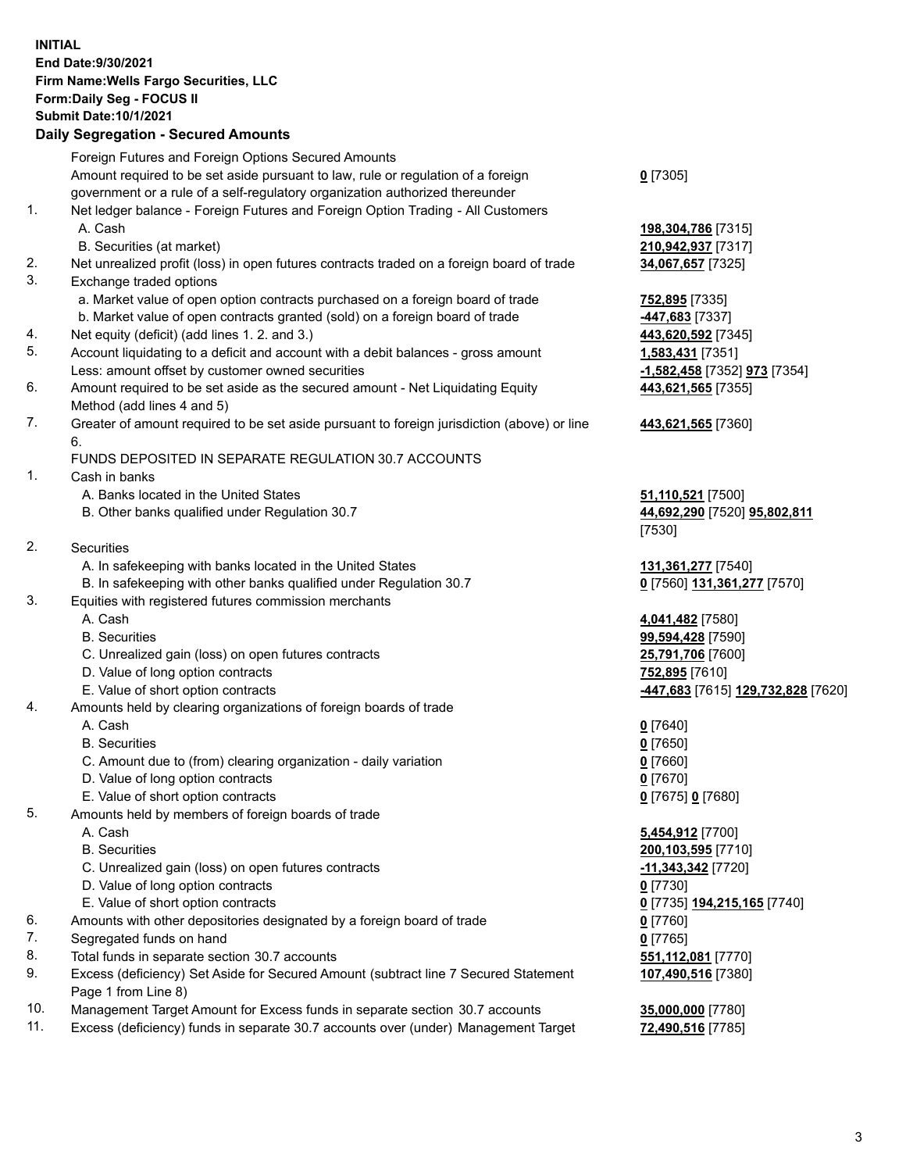**INITIAL End Date:9/30/2021 Firm Name:Wells Fargo Securities, LLC Form:Daily Seg - FOCUS II Submit Date:10/1/2021**

## **Daily Segregation - Secured Amounts**

|     | Foreign Futures and Foreign Options Secured Amounts                                         |                                                               |
|-----|---------------------------------------------------------------------------------------------|---------------------------------------------------------------|
|     | Amount required to be set aside pursuant to law, rule or regulation of a foreign            | $0$ [7305]                                                    |
|     | government or a rule of a self-regulatory organization authorized thereunder                |                                                               |
| 1.  | Net ledger balance - Foreign Futures and Foreign Option Trading - All Customers             |                                                               |
|     | A. Cash                                                                                     | 198,304,786 [7315]                                            |
|     | B. Securities (at market)                                                                   | 210,942,937 [7317]                                            |
| 2.  | Net unrealized profit (loss) in open futures contracts traded on a foreign board of trade   | 34,067,657 [7325]                                             |
| 3.  | Exchange traded options                                                                     |                                                               |
|     | a. Market value of open option contracts purchased on a foreign board of trade              | 752,895 [7335]                                                |
|     | b. Market value of open contracts granted (sold) on a foreign board of trade                | 447,683 [7337]                                                |
| 4.  | Net equity (deficit) (add lines 1. 2. and 3.)                                               | 443,620,592 [7345]                                            |
| 5.  | Account liquidating to a deficit and account with a debit balances - gross amount           | 1,583,431 [7351]                                              |
|     | Less: amount offset by customer owned securities                                            | -1,582,458 [7352] 973 [7354]                                  |
| 6.  | Amount required to be set aside as the secured amount - Net Liquidating Equity              | 443,621,565 [7355]                                            |
|     | Method (add lines 4 and 5)                                                                  |                                                               |
| 7.  | Greater of amount required to be set aside pursuant to foreign jurisdiction (above) or line | 443,621,565 [7360]                                            |
|     | 6.                                                                                          |                                                               |
|     | FUNDS DEPOSITED IN SEPARATE REGULATION 30.7 ACCOUNTS                                        |                                                               |
| 1.  | Cash in banks                                                                               |                                                               |
|     | A. Banks located in the United States                                                       | 51,110,521 [7500]                                             |
|     | B. Other banks qualified under Regulation 30.7                                              | 44,692,290 [7520] 95,802,811                                  |
|     |                                                                                             | [7530]                                                        |
| 2.  | Securities                                                                                  |                                                               |
|     | A. In safekeeping with banks located in the United States                                   | 131,361,277 [7540]                                            |
|     | B. In safekeeping with other banks qualified under Regulation 30.7                          | 0 [7560] 131,361,277 [7570]                                   |
| 3.  | Equities with registered futures commission merchants                                       |                                                               |
|     | A. Cash                                                                                     | 4,041,482 [7580]                                              |
|     | <b>B.</b> Securities                                                                        | 99,594,428 [7590]                                             |
|     | C. Unrealized gain (loss) on open futures contracts                                         | 25,791,706 [7600]                                             |
|     | D. Value of long option contracts                                                           | 752,895 [7610]                                                |
|     | E. Value of short option contracts                                                          | -447,683 [7615] 129,732,828 [7620]                            |
| 4.  | Amounts held by clearing organizations of foreign boards of trade                           |                                                               |
|     | A. Cash                                                                                     | $0$ [7640]                                                    |
|     | <b>B.</b> Securities                                                                        | $0$ [7650]                                                    |
|     | C. Amount due to (from) clearing organization - daily variation                             | $0$ [7660]                                                    |
|     | D. Value of long option contracts                                                           | $0$ [7670]                                                    |
|     | E. Value of short option contracts                                                          | 0 [7675] 0 [7680]                                             |
| 5.  | Amounts held by members of foreign boards of trade                                          |                                                               |
|     | A. Cash<br><b>B.</b> Securities                                                             | 5,454,912 [7700]<br>200,103,595 [7710]                        |
|     |                                                                                             |                                                               |
|     | C. Unrealized gain (loss) on open futures contracts<br>D. Value of long option contracts    | $-11,343,342$ [7720]                                          |
|     | E. Value of short option contracts                                                          | $0$ [7730]                                                    |
| 6.  | Amounts with other depositories designated by a foreign board of trade                      | 0 <sup>[7735]</sup> 194,215,165 <sup>[7740]</sup><br>0 [7760] |
| 7.  | Segregated funds on hand                                                                    | $0$ [7765]                                                    |
| 8.  | Total funds in separate section 30.7 accounts                                               | 551,112,081 [7770]                                            |
| 9.  | Excess (deficiency) Set Aside for Secured Amount (subtract line 7 Secured Statement         | 107,490,516 [7380]                                            |
|     | Page 1 from Line 8)                                                                         |                                                               |
| 10. | Management Target Amount for Excess funds in separate section 30.7 accounts                 | 35,000,000 [7780]                                             |

11. Excess (deficiency) funds in separate 30.7 accounts over (under) Management Target **72,490,516** [7785]

3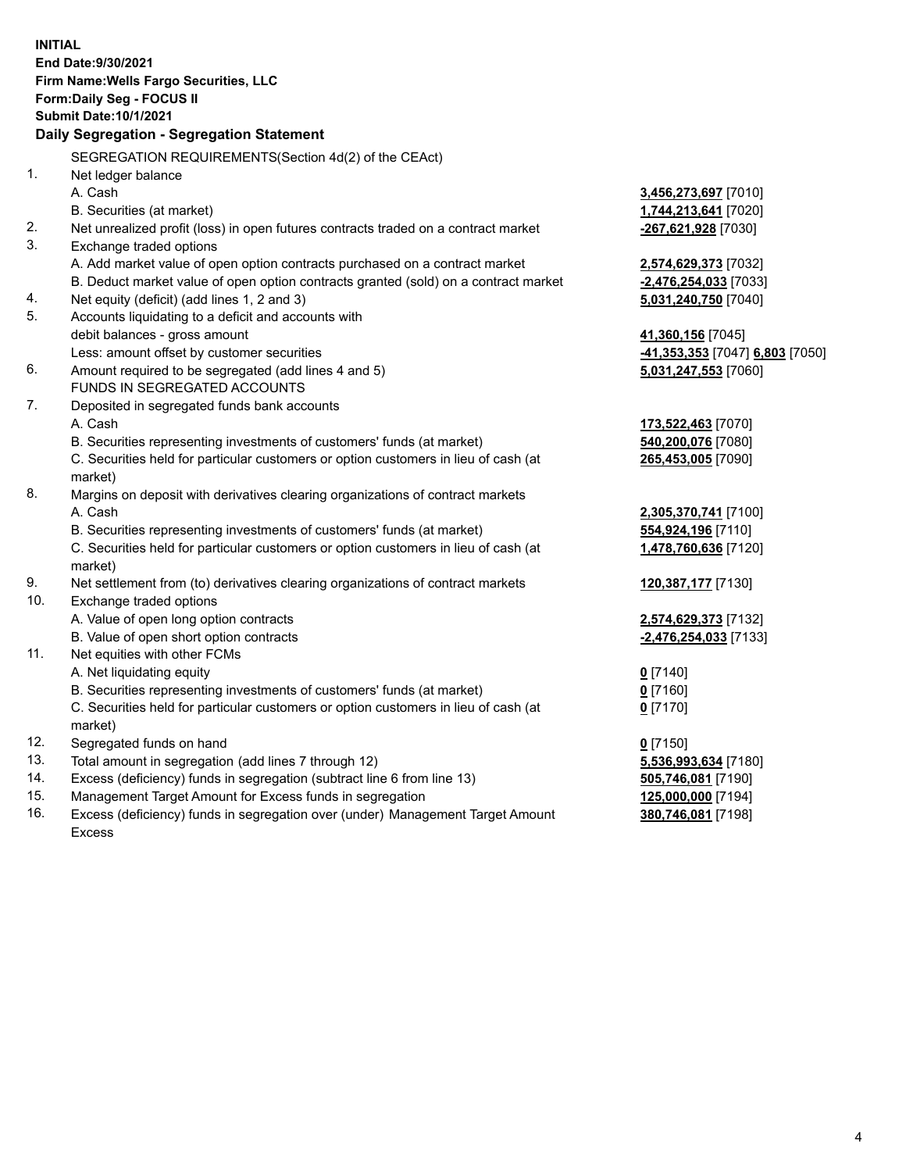**INITIAL End Date:9/30/2021 Firm Name:Wells Fargo Securities, LLC Form:Daily Seg - FOCUS II Submit Date:10/1/2021 Daily Segregation - Segregation Statement** SEGREGATION REQUIREMENTS(Section 4d(2) of the CEAct) 1. Net ledger balance A. Cash **3,456,273,697** [7010] B. Securities (at market) **1,744,213,641** [7020] 2. Net unrealized profit (loss) in open futures contracts traded on a contract market **-267,621,928** [7030] 3. Exchange traded options A. Add market value of open option contracts purchased on a contract market **2,574,629,373** [7032] B. Deduct market value of open option contracts granted (sold) on a contract market **-2,476,254,033** [7033] 4. Net equity (deficit) (add lines 1, 2 and 3) **5,031,240,750** [7040] 5. Accounts liquidating to a deficit and accounts with debit balances - gross amount **41,360,156** [7045] Less: amount offset by customer securities **-41,353,353** [7047] **6,803** [7050] 6. Amount required to be segregated (add lines 4 and 5) **5,031,247,553** [7060] FUNDS IN SEGREGATED ACCOUNTS 7. Deposited in segregated funds bank accounts A. Cash **173,522,463** [7070] B. Securities representing investments of customers' funds (at market) **540,200,076** [7080] C. Securities held for particular customers or option customers in lieu of cash (at market) **265,453,005** [7090] 8. Margins on deposit with derivatives clearing organizations of contract markets A. Cash **2,305,370,741** [7100] B. Securities representing investments of customers' funds (at market) **554,924,196** [7110] C. Securities held for particular customers or option customers in lieu of cash (at market) **1,478,760,636** [7120] 9. Net settlement from (to) derivatives clearing organizations of contract markets **120,387,177** [7130] 10. Exchange traded options A. Value of open long option contracts **2,574,629,373** [7132] B. Value of open short option contracts **-2,476,254,033** [7133] 11. Net equities with other FCMs A. Net liquidating equity **0** [7140] B. Securities representing investments of customers' funds (at market) **0** [7160] C. Securities held for particular customers or option customers in lieu of cash (at market) **0** [7170] 12. Segregated funds on hand **0** [7150] 13. Total amount in segregation (add lines 7 through 12) **5,536,993,634** [7180] 14. Excess (deficiency) funds in segregation (subtract line 6 from line 13) **505,746,081** [7190] 15. Management Target Amount for Excess funds in segregation **125,000,000** [7194] **380,746,081** [7198]

16. Excess (deficiency) funds in segregation over (under) Management Target Amount Excess